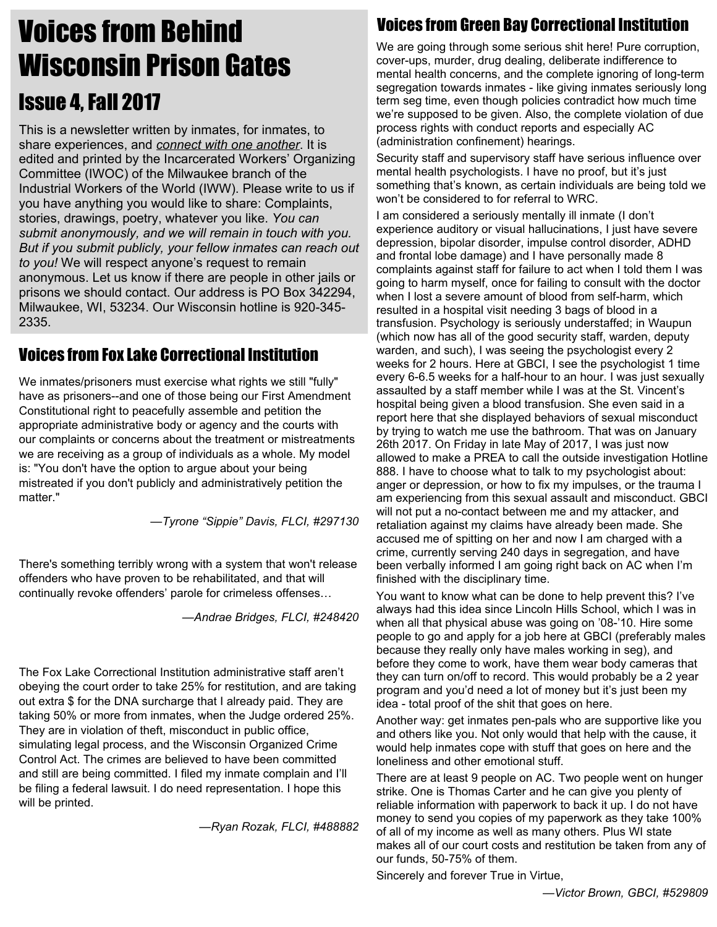## Voices from Behind Wisconsin Prison Gates Issue 4,Fall 2017

This is a newsletter written by inmates, for inmates, to share experiences, and *connect with one another*. It is edited and printed by the Incarcerated Workers' Organizing Committee (IWOC) of the Milwaukee branch of the Industrial Workers of the World (IWW). Please write to us if you have anything you would like to share: Complaints, stories, drawings, poetry, whatever you like. *You can submit anonymously, and we will remain in touch with you. But if you submit publicly, your fellow inmates can reach out to you!* We will respect anyone's request to remain anonymous. Let us know if there are people in other jails or prisons we should contact. Our address is PO Box 342294, Milwaukee, WI, 53234. Our Wisconsin hotline is 920-345- 2335.

## Voices from Fox Lake Correctional Institution

We inmates/prisoners must exercise what rights we still "fully" have as prisoners--and one of those being our First Amendment Constitutional right to peacefully assemble and petition the appropriate administrative body or agency and the courts with our complaints or concerns about the treatment or mistreatments we are receiving as a group of individuals as a whole. My model is: "You don't have the option to argue about your being mistreated if you don't publicly and administratively petition the matter."

*—Tyrone "Sippie" Davis, FLCI, #297130*

There's something terribly wrong with a system that won't release offenders who have proven to be rehabilitated, and that will continually revoke offenders' parole for crimeless offenses…

*—Andrae Bridges, FLCI, #248420*

The Fox Lake Correctional Institution administrative staff aren't obeying the court order to take 25% for restitution, and are taking out extra \$ for the DNA surcharge that I already paid. They are taking 50% or more from inmates, when the Judge ordered 25%. They are in violation of theft, misconduct in public office, simulating legal process, and the Wisconsin Organized Crime Control Act. The crimes are believed to have been committed and still are being committed. I filed my inmate complain and I'll be filing a federal lawsuit. I do need representation. I hope this will be printed.

*—Ryan Rozak, FLCI, #488882*

## Voices from Green Bay Correctional Institution

We are going through some serious shit here! Pure corruption, cover-ups, murder, drug dealing, deliberate indifference to mental health concerns, and the complete ignoring of long-term segregation towards inmates - like giving inmates seriously long term seg time, even though policies contradict how much time we're supposed to be given. Also, the complete violation of due process rights with conduct reports and especially AC (administration confinement) hearings.

Security staff and supervisory staff have serious influence over mental health psychologists. I have no proof, but it's just something that's known, as certain individuals are being told we won't be considered to for referral to WRC.

I am considered a seriously mentally ill inmate (I don't experience auditory or visual hallucinations, I just have severe depression, bipolar disorder, impulse control disorder, ADHD and frontal lobe damage) and I have personally made 8 complaints against staff for failure to act when I told them I was going to harm myself, once for failing to consult with the doctor when I lost a severe amount of blood from self-harm, which resulted in a hospital visit needing 3 bags of blood in a transfusion. Psychology is seriously understaffed; in Waupun (which now has all of the good security staff, warden, deputy warden, and such), I was seeing the psychologist every 2 weeks for 2 hours. Here at GBCI, I see the psychologist 1 time every 6-6.5 weeks for a half-hour to an hour. I was just sexually assaulted by a staff member while I was at the St. Vincent's hospital being given a blood transfusion. She even said in a report here that she displayed behaviors of sexual misconduct by trying to watch me use the bathroom. That was on January 26th 2017. On Friday in late May of 2017, I was just now allowed to make a PREA to call the outside investigation Hotline 888. I have to choose what to talk to my psychologist about: anger or depression, or how to fix my impulses, or the trauma I am experiencing from this sexual assault and misconduct. GBCI will not put a no-contact between me and my attacker, and retaliation against my claims have already been made. She accused me of spitting on her and now I am charged with a crime, currently serving 240 days in segregation, and have been verbally informed I am going right back on AC when I'm finished with the disciplinary time.

You want to know what can be done to help prevent this? I've always had this idea since Lincoln Hills School, which I was in when all that physical abuse was going on '08-'10. Hire some people to go and apply for a job here at GBCI (preferably males because they really only have males working in seg), and before they come to work, have them wear body cameras that they can turn on/off to record. This would probably be a 2 year program and you'd need a lot of money but it's just been my idea - total proof of the shit that goes on here.

Another way: get inmates pen-pals who are supportive like you and others like you. Not only would that help with the cause, it would help inmates cope with stuff that goes on here and the loneliness and other emotional stuff.

There are at least 9 people on AC. Two people went on hunger strike. One is Thomas Carter and he can give you plenty of reliable information with paperwork to back it up. I do not have money to send you copies of my paperwork as they take 100% of all of my income as well as many others. Plus WI state makes all of our court costs and restitution be taken from any of our funds, 50-75% of them.

Sincerely and forever True in Virtue,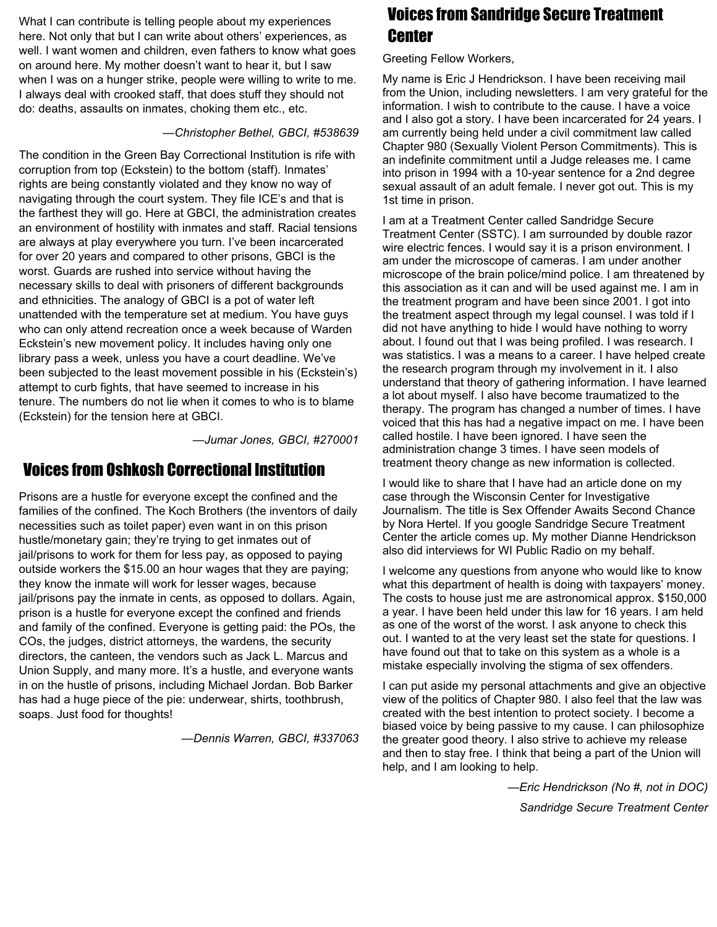What I can contribute is telling people about my experiences here. Not only that but I can write about others' experiences, as well. I want women and children, even fathers to know what goes on around here. My mother doesn't want to hear it, but I saw when I was on a hunger strike, people were willing to write to me. I always deal with crooked staff, that does stuff they should not do: deaths, assaults on inmates, choking them etc., etc.

#### *—Christopher Bethel, GBCI, #538639*

The condition in the Green Bay Correctional Institution is rife with corruption from top (Eckstein) to the bottom (staff). Inmates' rights are being constantly violated and they know no way of navigating through the court system. They file ICE's and that is the farthest they will go. Here at GBCI, the administration creates an environment of hostility with inmates and staff. Racial tensions are always at play everywhere you turn. I've been incarcerated for over 20 years and compared to other prisons, GBCI is the worst. Guards are rushed into service without having the necessary skills to deal with prisoners of different backgrounds and ethnicities. The analogy of GBCI is a pot of water left unattended with the temperature set at medium. You have guys who can only attend recreation once a week because of Warden Eckstein's new movement policy. It includes having only one library pass a week, unless you have a court deadline. We've been subjected to the least movement possible in his (Eckstein's) attempt to curb fights, that have seemed to increase in his tenure. The numbers do not lie when it comes to who is to blame (Eckstein) for the tension here at GBCI.

*—Jumar Jones, GBCI, #270001*

## Voices from Oshkosh Correctional Institution

Prisons are a hustle for everyone except the confined and the families of the confined. The Koch Brothers (the inventors of daily necessities such as toilet paper) even want in on this prison hustle/monetary gain; they're trying to get inmates out of jail/prisons to work for them for less pay, as opposed to paying outside workers the \$15.00 an hour wages that they are paying; they know the inmate will work for lesser wages, because jail/prisons pay the inmate in cents, as opposed to dollars. Again, prison is a hustle for everyone except the confined and friends and family of the confined. Everyone is getting paid: the POs, the COs, the judges, district attorneys, the wardens, the security directors, the canteen, the vendors such as Jack L. Marcus and Union Supply, and many more. It's a hustle, and everyone wants in on the hustle of prisons, including Michael Jordan. Bob Barker has had a huge piece of the pie: underwear, shirts, toothbrush, soaps. Just food for thoughts!

*—Dennis Warren, GBCI, #337063*

## Voices from Sandridge Secure Treatment Center

Greeting Fellow Workers,

My name is Eric J Hendrickson. I have been receiving mail from the Union, including newsletters. I am very grateful for the information. I wish to contribute to the cause. I have a voice and I also got a story. I have been incarcerated for 24 years. I am currently being held under a civil commitment law called Chapter 980 (Sexually Violent Person Commitments). This is an indefinite commitment until a Judge releases me. I came into prison in 1994 with a 10-year sentence for a 2nd degree sexual assault of an adult female. I never got out. This is my 1st time in prison.

I am at a Treatment Center called Sandridge Secure Treatment Center (SSTC). I am surrounded by double razor wire electric fences. I would say it is a prison environment. I am under the microscope of cameras. I am under another microscope of the brain police/mind police. I am threatened by this association as it can and will be used against me. I am in the treatment program and have been since 2001. I got into the treatment aspect through my legal counsel. I was told if I did not have anything to hide I would have nothing to worry about. I found out that I was being profiled. I was research. I was statistics. I was a means to a career. I have helped create the research program through my involvement in it. I also understand that theory of gathering information. I have learned a lot about myself. I also have become traumatized to the therapy. The program has changed a number of times. I have voiced that this has had a negative impact on me. I have been called hostile. I have been ignored. I have seen the administration change 3 times. I have seen models of treatment theory change as new information is collected.

I would like to share that I have had an article done on my case through the Wisconsin Center for Investigative Journalism. The title is Sex Offender Awaits Second Chance by Nora Hertel. If you google Sandridge Secure Treatment Center the article comes up. My mother Dianne Hendrickson also did interviews for WI Public Radio on my behalf.

I welcome any questions from anyone who would like to know what this department of health is doing with taxpayers' money. The costs to house just me are astronomical approx. \$150,000 a year. I have been held under this law for 16 years. I am held as one of the worst of the worst. I ask anyone to check this out. I wanted to at the very least set the state for questions. I have found out that to take on this system as a whole is a mistake especially involving the stigma of sex offenders.

I can put aside my personal attachments and give an objective view of the politics of Chapter 980. I also feel that the law was created with the best intention to protect society. I become a biased voice by being passive to my cause. I can philosophize the greater good theory. I also strive to achieve my release and then to stay free. I think that being a part of the Union will help, and I am looking to help.

*—Eric Hendrickson (No #, not in DOC)*

*Sandridge Secure Treatment Center*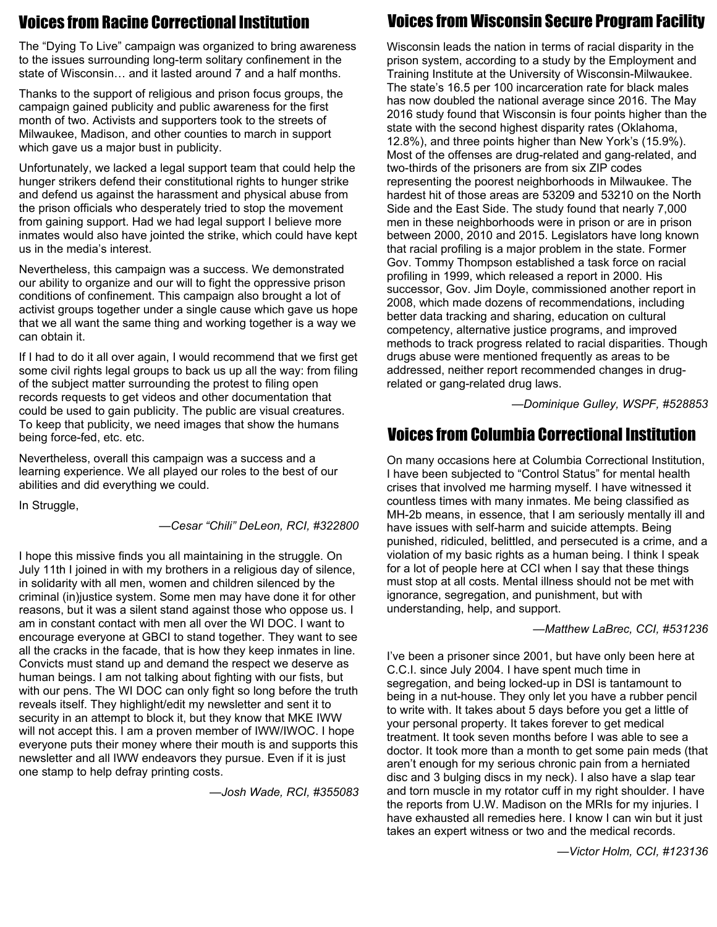## Voices from Racine Correctional Institution

## Voices from Wisconsin Secure Program Facility

The "Dying To Live" campaign was organized to bring awareness to the issues surrounding long-term solitary confinement in the state of Wisconsin… and it lasted around 7 and a half months.

Thanks to the support of religious and prison focus groups, the campaign gained publicity and public awareness for the first month of two. Activists and supporters took to the streets of Milwaukee, Madison, and other counties to march in support which gave us a major bust in publicity.

Unfortunately, we lacked a legal support team that could help the hunger strikers defend their constitutional rights to hunger strike and defend us against the harassment and physical abuse from the prison officials who desperately tried to stop the movement from gaining support. Had we had legal support I believe more inmates would also have jointed the strike, which could have kept us in the media's interest.

Nevertheless, this campaign was a success. We demonstrated our ability to organize and our will to fight the oppressive prison conditions of confinement. This campaign also brought a lot of activist groups together under a single cause which gave us hope that we all want the same thing and working together is a way we can obtain it.

If I had to do it all over again, I would recommend that we first get some civil rights legal groups to back us up all the way: from filing of the subject matter surrounding the protest to filing open records requests to get videos and other documentation that could be used to gain publicity. The public are visual creatures. To keep that publicity, we need images that show the humans being force-fed, etc. etc.

Nevertheless, overall this campaign was a success and a learning experience. We all played our roles to the best of our abilities and did everything we could.

In Struggle,

*—Cesar "Chili" DeLeon, RCI, #322800*

I hope this missive finds you all maintaining in the struggle. On July 11th I joined in with my brothers in a religious day of silence, in solidarity with all men, women and children silenced by the criminal (in)justice system. Some men may have done it for other reasons, but it was a silent stand against those who oppose us. I am in constant contact with men all over the WI DOC. I want to encourage everyone at GBCI to stand together. They want to see all the cracks in the facade, that is how they keep inmates in line. Convicts must stand up and demand the respect we deserve as human beings. I am not talking about fighting with our fists, but with our pens. The WI DOC can only fight so long before the truth reveals itself. They highlight/edit my newsletter and sent it to security in an attempt to block it, but they know that MKE IWW will not accept this. I am a proven member of IWW/IWOC. I hope everyone puts their money where their mouth is and supports this newsletter and all IWW endeavors they pursue. Even if it is just one stamp to help defray printing costs.

*—Josh Wade, RCI, #355083*

Wisconsin leads the nation in terms of racial disparity in the prison system, according to a study by the Employment and Training Institute at the University of Wisconsin-Milwaukee. The state's 16.5 per 100 incarceration rate for black males has now doubled the national average since 2016. The May 2016 study found that Wisconsin is four points higher than the state with the second highest disparity rates (Oklahoma, 12.8%), and three points higher than New York's (15.9%). Most of the offenses are drug-related and gang-related, and two-thirds of the prisoners are from six ZIP codes representing the poorest neighborhoods in Milwaukee. The hardest hit of those areas are 53209 and 53210 on the North Side and the East Side. The study found that nearly 7,000 men in these neighborhoods were in prison or are in prison between 2000, 2010 and 2015. Legislators have long known that racial profiling is a major problem in the state. Former Gov. Tommy Thompson established a task force on racial profiling in 1999, which released a report in 2000. His successor, Gov. Jim Doyle, commissioned another report in 2008, which made dozens of recommendations, including better data tracking and sharing, education on cultural competency, alternative justice programs, and improved methods to track progress related to racial disparities. Though drugs abuse were mentioned frequently as areas to be addressed, neither report recommended changes in drugrelated or gang-related drug laws.

*—Dominique Gulley, WSPF, #528853*

### Voices from Columbia Correctional Institution

On many occasions here at Columbia Correctional Institution, I have been subjected to "Control Status" for mental health crises that involved me harming myself. I have witnessed it countless times with many inmates. Me being classified as MH-2b means, in essence, that I am seriously mentally ill and have issues with self-harm and suicide attempts. Being punished, ridiculed, belittled, and persecuted is a crime, and a violation of my basic rights as a human being. I think I speak for a lot of people here at CCI when I say that these things must stop at all costs. Mental illness should not be met with ignorance, segregation, and punishment, but with understanding, help, and support.

#### *—Matthew LaBrec, CCI, #531236*

I've been a prisoner since 2001, but have only been here at C.C.I. since July 2004. I have spent much time in segregation, and being locked-up in DSI is tantamount to being in a nut-house. They only let you have a rubber pencil to write with. It takes about 5 days before you get a little of your personal property. It takes forever to get medical treatment. It took seven months before I was able to see a doctor. It took more than a month to get some pain meds (that aren't enough for my serious chronic pain from a herniated disc and 3 bulging discs in my neck). I also have a slap tear and torn muscle in my rotator cuff in my right shoulder. I have the reports from U.W. Madison on the MRIs for my injuries. I have exhausted all remedies here. I know I can win but it just takes an expert witness or two and the medical records.

*—Victor Holm, CCI, #123136*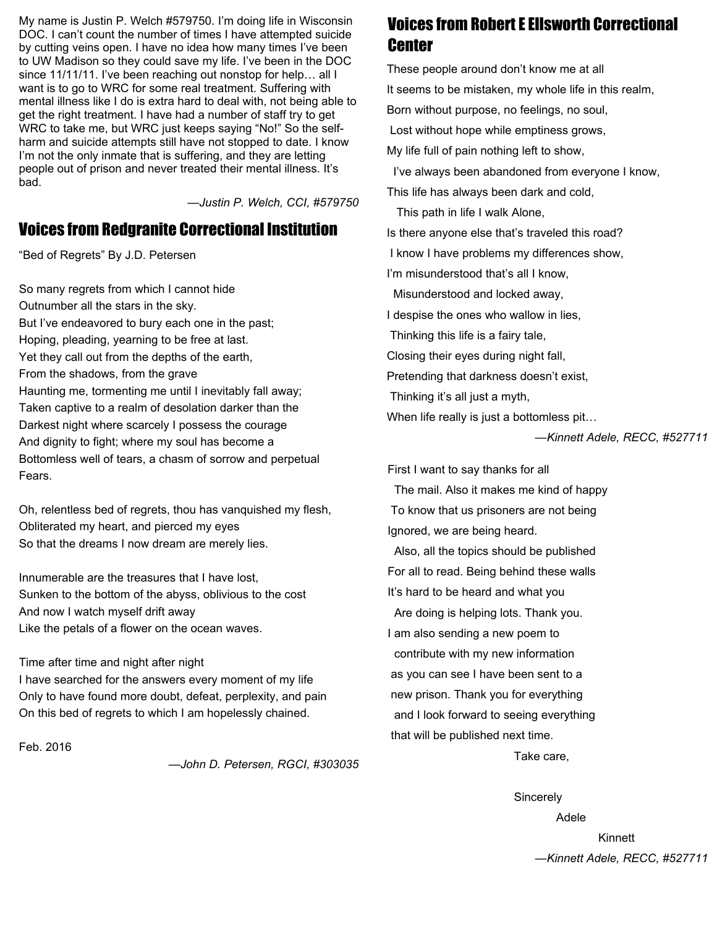My name is Justin P. Welch #579750. I'm doing life in Wisconsin DOC. I can't count the number of times I have attempted suicide by cutting veins open. I have no idea how many times I've been to UW Madison so they could save my life. I've been in the DOC since 11/11/11. I've been reaching out nonstop for help… all I want is to go to WRC for some real treatment. Suffering with mental illness like I do is extra hard to deal with, not being able to get the right treatment. I have had a number of staff try to get WRC to take me, but WRC just keeps saying "No!" So the selfharm and suicide attempts still have not stopped to date. I know I'm not the only inmate that is suffering, and they are letting people out of prison and never treated their mental illness. It's bad.

*—Justin P. Welch, CCI, #579750*

### Voices from Redgranite Correctional Institution

"Bed of Regrets" By J.D. Petersen

So many regrets from which I cannot hide Outnumber all the stars in the sky. But I've endeavored to bury each one in the past; Hoping, pleading, yearning to be free at last. Yet they call out from the depths of the earth, From the shadows, from the grave Haunting me, tormenting me until I inevitably fall away; Taken captive to a realm of desolation darker than the Darkest night where scarcely I possess the courage And dignity to fight; where my soul has become a Bottomless well of tears, a chasm of sorrow and perpetual Fears.

Oh, relentless bed of regrets, thou has vanquished my flesh, Obliterated my heart, and pierced my eyes So that the dreams I now dream are merely lies.

Innumerable are the treasures that I have lost, Sunken to the bottom of the abyss, oblivious to the cost And now I watch myself drift away Like the petals of a flower on the ocean waves.

#### Time after time and night after night

I have searched for the answers every moment of my life Only to have found more doubt, defeat, perplexity, and pain On this bed of regrets to which I am hopelessly chained.

Feb. 2016

*—John D. Petersen, RGCI, #303035*

## Voices from Robert E Ellsworth Correctional **Center**

These people around don't know me at all It seems to be mistaken, my whole life in this realm, Born without purpose, no feelings, no soul, Lost without hope while emptiness grows, My life full of pain nothing left to show, I've always been abandoned from everyone I know, This life has always been dark and cold, This path in life I walk Alone, Is there anyone else that's traveled this road? I know I have problems my differences show, I'm misunderstood that's all I know, Misunderstood and locked away, I despise the ones who wallow in lies, Thinking this life is a fairy tale, Closing their eyes during night fall, Pretending that darkness doesn't exist, Thinking it's all just a myth, When life really is just a bottomless pit...

*—Kinnett Adele, RECC, #527711*

First I want to say thanks for all

The mail. Also it makes me kind of happy To know that us prisoners are not being Ignored, we are being heard. Also, all the topics should be published For all to read. Being behind these walls It's hard to be heard and what you Are doing is helping lots. Thank you. I am also sending a new poem to contribute with my new information as you can see I have been sent to a new prison. Thank you for everything and I look forward to seeing everything that will be published next time.

Take care,

**Sincerely** Adele

> Kinnett *—Kinnett Adele, RECC, #527711*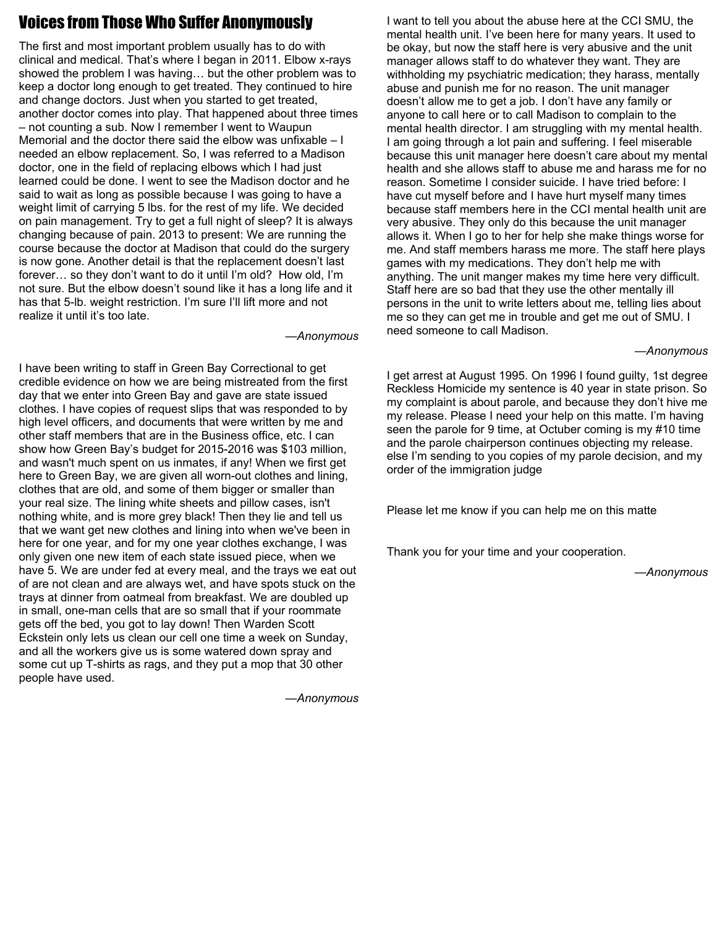## Voices from Those Who Suffer Anonymously

The first and most important problem usually has to do with clinical and medical. That's where I began in 2011. Elbow x-rays showed the problem I was having… but the other problem was to keep a doctor long enough to get treated. They continued to hire and change doctors. Just when you started to get treated, another doctor comes into play. That happened about three times – not counting a sub. Now I remember I went to Waupun Memorial and the doctor there said the elbow was unfixable – I needed an elbow replacement. So, I was referred to a Madison doctor, one in the field of replacing elbows which I had just learned could be done. I went to see the Madison doctor and he said to wait as long as possible because I was going to have a weight limit of carrying 5 lbs. for the rest of my life. We decided on pain management. Try to get a full night of sleep? It is always changing because of pain. 2013 to present: We are running the course because the doctor at Madison that could do the surgery is now gone. Another detail is that the replacement doesn't last forever… so they don't want to do it until I'm old? How old, I'm not sure. But the elbow doesn't sound like it has a long life and it has that 5-lb. weight restriction. I'm sure I'll lift more and not realize it until it's too late.

*—Anonymous*

I have been writing to staff in Green Bay Correctional to get credible evidence on how we are being mistreated from the first day that we enter into Green Bay and gave are state issued clothes. I have copies of request slips that was responded to by high level officers, and documents that were written by me and other staff members that are in the Business office, etc. I can show how Green Bay's budget for 2015-2016 was \$103 million, and wasn't much spent on us inmates, if any! When we first get here to Green Bay, we are given all worn-out clothes and lining, clothes that are old, and some of them bigger or smaller than your real size. The lining white sheets and pillow cases, isn't nothing white, and is more grey black! Then they lie and tell us that we want get new clothes and lining into when we've been in here for one year, and for my one year clothes exchange, I was only given one new item of each state issued piece, when we have 5. We are under fed at every meal, and the trays we eat out of are not clean and are always wet, and have spots stuck on the trays at dinner from oatmeal from breakfast. We are doubled up in small, one-man cells that are so small that if your roommate gets off the bed, you got to lay down! Then Warden Scott Eckstein only lets us clean our cell one time a week on Sunday, and all the workers give us is some watered down spray and some cut up T-shirts as rags, and they put a mop that 30 other people have used.

mental health unit. I've been here for many years. It used to be okay, but now the staff here is very abusive and the unit manager allows staff to do whatever they want. They are withholding my psychiatric medication; they harass, mentally abuse and punish me for no reason. The unit manager doesn't allow me to get a job. I don't have any family or anyone to call here or to call Madison to complain to the mental health director. I am struggling with my mental health. I am going through a lot pain and suffering. I feel miserable because this unit manager here doesn't care about my mental health and she allows staff to abuse me and harass me for no reason. Sometime I consider suicide. I have tried before: I have cut myself before and I have hurt myself many times because staff members here in the CCI mental health unit are very abusive. They only do this because the unit manager allows it. When I go to her for help she make things worse for me. And staff members harass me more. The staff here plays games with my medications. They don't help me with anything. The unit manger makes my time here very difficult. Staff here are so bad that they use the other mentally ill persons in the unit to write letters about me, telling lies about me so they can get me in trouble and get me out of SMU. I need someone to call Madison.

I want to tell you about the abuse here at the CCI SMU, the

*—Anonymous*

I get arrest at August 1995. On 1996 I found guilty, 1st degree Reckless Homicide my sentence is 40 year in state prison. So my complaint is about parole, and because they don't hive me my release. Please I need your help on this matte. I'm having seen the parole for 9 time, at Octuber coming is my #10 time and the parole chairperson continues objecting my release. else I'm sending to you copies of my parole decision, and my order of the immigration judge

Please let me know if you can help me on this matte

Thank you for your time and your cooperation.

*—Anonymous*

*—Anonymous*